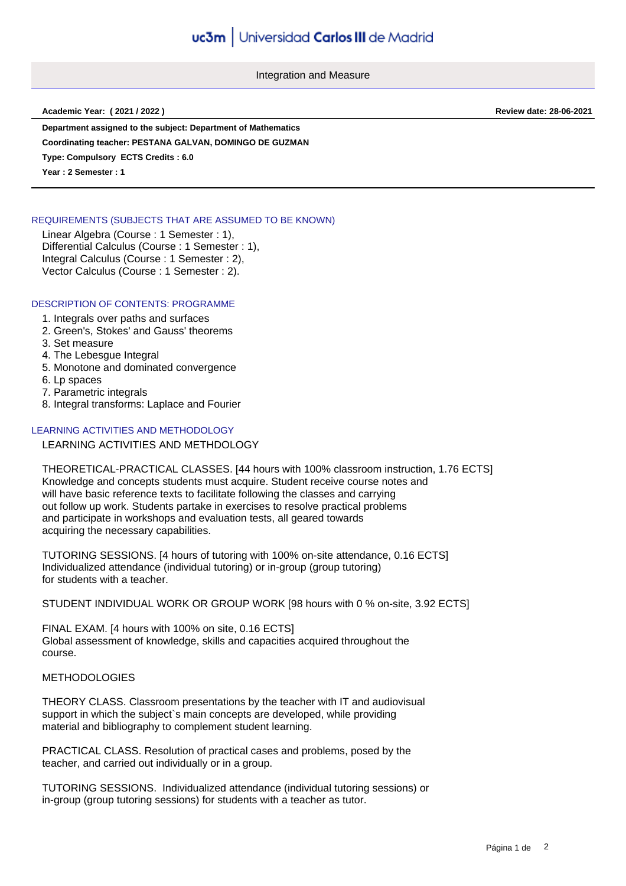Integration and Measure

**Academic Year: ( 2021 / 2022 ) Review date: 28-06-2021**

**Department assigned to the subject: Department of Mathematics**

**Coordinating teacher: PESTANA GALVAN, DOMINGO DE GUZMAN**

**Type: Compulsory ECTS Credits : 6.0**

**Year : 2 Semester : 1**

## REQUIREMENTS (SUBJECTS THAT ARE ASSUMED TO BE KNOWN)

Linear Algebra (Course : 1 Semester : 1), Differential Calculus (Course : 1 Semester : 1), Integral Calculus (Course : 1 Semester : 2), Vector Calculus (Course : 1 Semester : 2).

## DESCRIPTION OF CONTENTS: PROGRAMME

- 1. Integrals over paths and surfaces
- 2. Green's, Stokes' and Gauss' theorems
- 3. Set measure
- 4. The Lebesgue Integral
- 5. Monotone and dominated convergence
- 6. Lp spaces
- 7. Parametric integrals
- 8. Integral transforms: Laplace and Fourier

## LEARNING ACTIVITIES AND METHODOLOGY

LEARNING ACTIVITIES AND METHDOLOGY

THEORETICAL-PRACTICAL CLASSES. [44 hours with 100% classroom instruction, 1.76 ECTS] Knowledge and concepts students must acquire. Student receive course notes and will have basic reference texts to facilitate following the classes and carrying out follow up work. Students partake in exercises to resolve practical problems and participate in workshops and evaluation tests, all geared towards acquiring the necessary capabilities.

TUTORING SESSIONS. [4 hours of tutoring with 100% on-site attendance, 0.16 ECTS] Individualized attendance (individual tutoring) or in-group (group tutoring) for students with a teacher.

STUDENT INDIVIDUAL WORK OR GROUP WORK [98 hours with 0 % on-site, 3.92 ECTS]

FINAL EXAM. [4 hours with 100% on site, 0.16 ECTS] Global assessment of knowledge, skills and capacities acquired throughout the course.

## METHODOLOGIES

THEORY CLASS. Classroom presentations by the teacher with IT and audiovisual support in which the subject`s main concepts are developed, while providing material and bibliography to complement student learning.

PRACTICAL CLASS. Resolution of practical cases and problems, posed by the teacher, and carried out individually or in a group.

TUTORING SESSIONS. Individualized attendance (individual tutoring sessions) or in-group (group tutoring sessions) for students with a teacher as tutor.